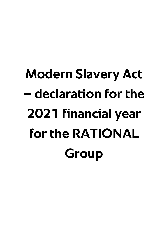# **Modern Slavery Act – declaration for the 2021 financial year for the RATIONAL Group**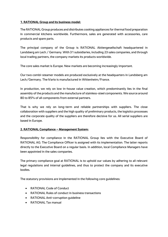### **1. RATIONAL Group and its business model:**

The RATIONAL Group produces and distributes cooking appliances for thermal food preparation in commercial kitchens worldwide. Furthermore, sales are generated with accessories, care products and spare parts.

The principal company of the Group is RATIONAL Aktiengesellschaft headquartered in Landsberg am Lech / Germany. With 31 subsidiaries, including 23 sales companies, and through local trading partners, the company markets its products worldwide.

The core sales market is Europe. New markets are becoming increasingly important.

Our two combi-steamer models are produced exclusively at the headquarters in Landsberg am Lech/Germany. The iVario is manufactured in Wittenheim/France.

In production, we rely on low in-house value creation, which predominantly lies in the final assembly of the products and the manufacture of stainless-steel components. We source around 80 to 85% of all components from external partners.

That is why we rely on long-term and reliable partnerships with suppliers. The close collaboration with suppliers and the high quality of preliminary products, the logistics processes and the corporate quality of the suppliers are therefore decisive for us. All serial suppliers are based in Europe.

# **2. RATIONAL Compliance – Management System:**

Responsibility for compliance in the RATIONAL Group lies with the Executive Board of RATIONAL AG. The Compliance Officer is assigned with its implementation. The latter reports directly to the Executive Board on a regular basis. In addition, local Compliance Managers have been appointed in the sales companies.

The primary compliance goal at RATIONAL is to uphold our values by adhering to all relevant legal regulations and internal guidelines, and thus to protect the company and its executive bodies.

The statutory provisions are implemented in the following core guidelines:

- RATIONAL Code of Conduct
- RATIONAL Rules of conduct in business transactions
- RATIONAL Anti-corruption guideline
- RATIONAL Tax manual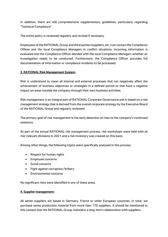In addition, there are still comprehensive supplementary guidelines, particularly regarding "Technical Compliance".

The entire policy is reviewed regularly and revised if necessary.

Employees of the RATIONAL Group and third parties (suppliers, etc.) can contact the Compliance Officer and the local Compliance Managers in conflict situations. Incoming information is evaluated and the Compliance Officer decides with the local Compliance Managers whether an investigation needs to be conducted. Furthermore, the Compliance Officer provides full documentation of information or compliance incidents to be processed.

### **3. RATIONAL Risk Management System:**

Risk is understood to mean all internal and external processes that can negatively affect the achievement of business objectives or strategies in a defined period or that have a negative impact on areas outside the company through their own business activities.

Risk management is an integral part of RATIONAL Corporate Governance and is based on a risk management strategy that is derived from the overall corporate strategy by the Executive Board of the RATIONAL Group and regularly reviewed.

The primary goal of risk management is the early detection of risks to the company's continued existence.

As part of the annual RATIONAL risk management process, risk workshops were held with all risk-relevant divisions in 2021 and a risk inventory was created on this basis.

Among other things, the following topics were specifically analysed in this process:

- Respect for human rights
- Employee concerns
- Social concerns
- Fight against corruption/bribery
- Environmental concerns

No significant risks were identified in any of these areas.

#### **4. Supplier management:**

All series suppliers are based in Germany, France or other European countries. In total, we purchase series production material from more than 170 suppliers. It should be mentioned in this context that the RATIONAL Group maintains a long-term collaboration with suppliers.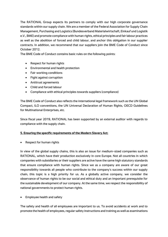The RATIONAL Group expects its partners to comply with our high corporate governance standards within our supply chain. We are a member of the Federal Association for Supply Chain Management, Purchasing and Logistics (Bundesverband Materialwirtschaft, Einkauf und Logistik e.V., BME) and promote compliance with human rights, ethical principles and fair labour practices as well as the abolition of forced and child labour, and anchor this obligation in our supplier contracts. In addition, we recommend that our suppliers join the BME Code of Conduct since October 2012.

The BME Code of Conduct contains basic rules on the following points:

- Respect for human rights
- Environmental and health protection
- Fair working conditions
- Fight against corruption
- Antitrust agreements
- Child and forced labour
- Compliance with ethical principles towards suppliers (compliance)

The BME Code of Conduct also reflects the international legal framework such as the UN Global Compact, ILO conventions, the UN Universal Declaration of Human Rights, OECD Guidelines for Multinational Enterprises, etc.

Since fiscal year 2019, RATIONAL has been supported by an external auditor with regards to compliance with the supply chain.

# **5. Ensuring the specific requirements of the Modern Slavery Act:**

• Respect for human rights

In view of the global supply chains, this is also an issue for medium-sized companies such as RATIONAL, which have their production exclusively in core Europe. Not all countries in which companies with subsidiaries or their suppliers are active have the same high statutory standards that ensure compliance with human rights. Since we as a company are aware of our great responsibility towards all people who contribute to the company's success within our supply chain, this topic is a high priority for us. As a globally active company, we consider the observance of human rights to be our social and ethical duty and an important prerequisite for the sustainable development of our company. At the same time, we respect the responsibility of national governments to protect human rights.

• Employee health and safety

The safety and health of all employees are important to us. To avoid accidents at work and to promote the health of employees, regular safety instructions and training as well as examinations